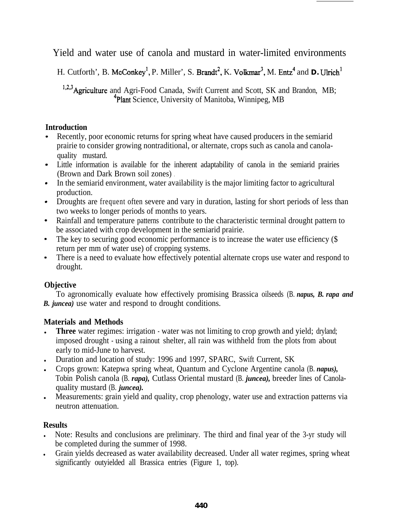Yield and water use of canola and mustard in water-limited environments

H. Cutforth', B. McConkey<sup>1</sup>, P. Miller', S. Brandt<sup>2</sup>, K. Volkmar<sup>3</sup>, M. Entz<sup>4</sup> and **D.** Ulrich<sup>1</sup>

<sup>1,2,3</sup> Agriculture and Agri-Food Canada, Swift Current and Scott, SK and Brandon, MB; <sup>4</sup>Plant Science, University of Manitoba, Winnipeg, MB

### **Introduction**

- Recently, poor economic returns for spring wheat have caused producers in the semiarid prairie to consider growing nontraditional, or alternate, crops such as canola and canolaquality mustard.
- Little information is available for the inherent adaptability of canola in the semiarid prairies (Brown and Dark Brown soil zones) .
- In the semiarid environment, water availability is the major limiting factor to agricultural production.
- Droughts are frequent often severe and vary in duration, lasting for short periods of less than two weeks to longer periods of months to years.
- Rainfall and temperature patterns contribute to the characteristic terminal drought pattern to be associated with crop development in the semiarid prairie.
- The key to securing good economic performance is to increase the water use efficiency (\$ return per mm of water use) of cropping systems.
- There is a need to evaluate how effectively potential alternate crops use water and respond to  $\bullet$  . drought.

# **Objective**

To agronomically evaluate how effectively promising Brassica oilseeds (B. *napus, B. rapa and B. juncea)* use water and respond to drought conditions.

# **Materials and Methods**

- Three water regimes: irrigation water was not limiting to crop growth and yield; dryland; imposed drought - using a rainout shelter, all rain was withheld from the plots from about early to mid-June to harvest.
- <sup>l</sup> Duration and location of study: 1996 and 1997, SPARC, Swift Current, SK
- <sup>l</sup> Crops grown: Katepwa spring wheat, Quantum and Cyclone Argentine canola (B. *napus),* Tobin Polish canola (B. *rapa),* Cutlass Oriental mustard (B. *juncea),* breeder lines of Canolaquality mustard (B. *juncea).*
- <sup>l</sup> Measurements: grain yield and quality, crop phenology, water use and extraction patterns via neutron attenuation.

# **Results**

- <sup>l</sup> Note: Results and conclusions are preliminary. The third and final year of the 3-yr study will be completed during the summer of 1998.
- Grain yields decreased as water availability decreased. Under all water regimes, spring wheat significantly outyielded all Brassica entries (Figure 1, top).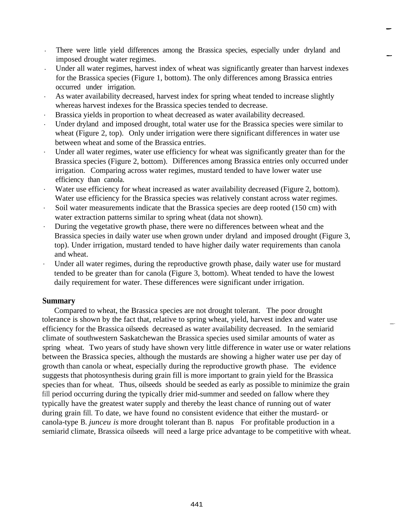- . There were little yield differences among the Brassica species, especially under dryland and imposed drought water regimes.
- . Under all water regimes, harvest index of wheat was significantly greater than harvest indexes for the Brassica species (Figure 1, bottom). The only differences among Brassica entries occurred under irrigation.
- . As water availability decreased, harvest index for spring wheat tended to increase slightly whereas harvest indexes for the Brassica species tended to decrease.
- . Brassica yields in proportion to wheat decreased as water availability decreased.
- . Under dryland and imposed drought, total water use for the Brassica species were similar to wheat (Figure 2, top). Only under irrigation were there significant differences in water use between wheat and some of the Brassica entries.
- . Under all water regimes, water use efficiency for wheat was significantly greater than for the Brassica species (Figure 2, bottom). Differences among Brassica entries only occurred under irrigation. Comparing across water regimes, mustard tended to have lower water use efficiency than canola.
- . Water use efficiency for wheat increased as water availability decreased (Figure 2, bottom). Water use efficiency for the Brassica species was relatively constant across water regimes.
- . Soil water measurements indicate that the Brassica species are deep rooted (150 cm) with water extraction patterns similar to spring wheat (data not shown).
- . During the vegetative growth phase, there were no differences between wheat and the Brassica species in daily water use when grown under dryland and imposed drought (Figure 3, top). Under irrigation, mustard tended to have higher daily water requirements than canola and wheat.
- . Under all water regimes, during the reproductive growth phase, daily water use for mustard tended to be greater than for canola (Figure 3, bottom). Wheat tended to have the lowest daily requirement for water. These differences were significant under irrigation.

### **Summary**

Compared to wheat, the Brassica species are not drought tolerant. The poor drought tolerance is shown by the fact that, relative to spring wheat, yield, harvest index and water use efficiency for the Brassica oilseeds decreased as water availability decreased. In the semiarid climate of southwestern Saskatchewan the Brassica species used similar amounts of water as spring wheat. Two years of study have shown very little difference in water use or water relations between the Brassica species, although the mustards are showing a higher water use per day of growth than canola or wheat, especially during the reproductive growth phase. The evidence suggests that photosynthesis during grain fill is more important to grain yield for the Brassica species than for wheat. Thus, oilseeds should be seeded as early as possible to minimize the grain fill period occurring during the typically drier mid-summer and seeded on fallow where they typically have the greatest water supply and thereby the least chance of running out of water during grain fill. To date, we have found no consistent evidence that either the mustard- or canola-type B. *junceu is* more drought tolerant than B. napus. For profitable production in a semiarid climate, Brassica oilseeds will need a large price advantage to be competitive with wheat.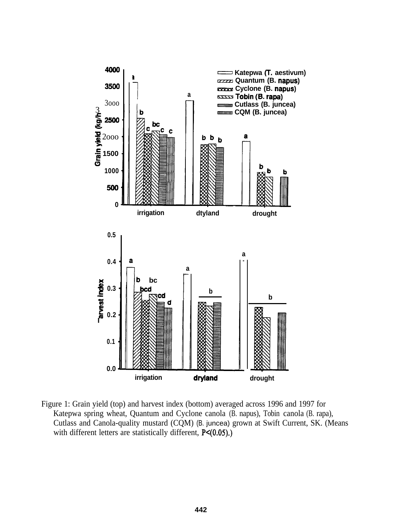

Figure 1: Grain yield (top) and harvest index (bottom) averaged across 1996 and 1997 for Katepwa spring wheat, Quantum and Cyclone canola (B. napus), Tobin canola (B. rapa), Cutlass and Canola-quality mustard (CQM) (B. juncea) grown at Swift Current, SK. (Means with different letters are statistically different,  $P<(0.05)$ .)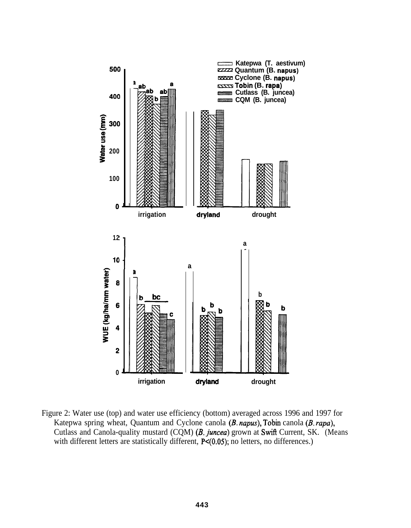

Figure 2: Water use (top) and water use efficiency (bottom) averaged across 1996 and 1997 for Katepwa spring wheat, Quantum and Cyclone canola (B. napus), Tobin canola (B. rapa), Cutlass and Canola-quality mustard (CQM) (B. juncea) grown at Swift Current, SK. (Means with different letters are statistically different, P<(0.05); no letters, no differences.)